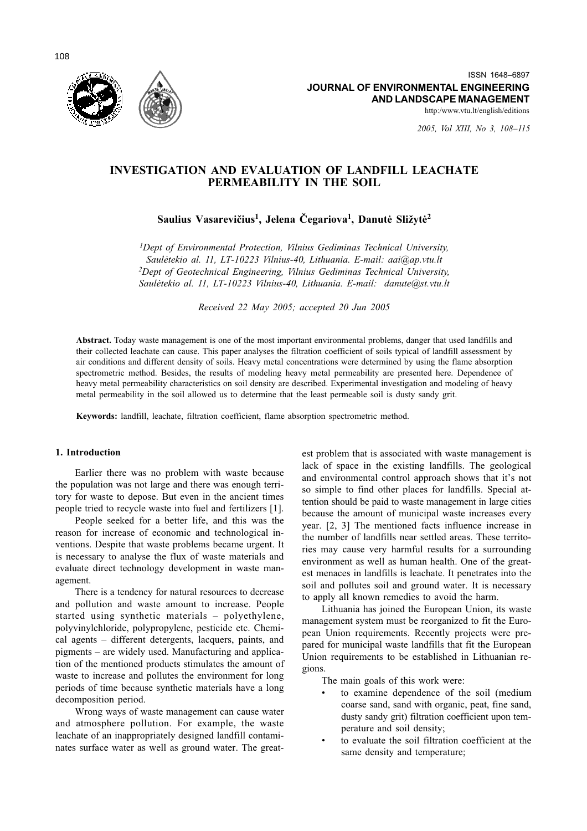

2005, Vol XIII, No 3, 108-115

# **INVESTIGATION AND EVALUATION OF LANDFILL LEACHATE** PERMEABILITY IN THE SOIL

# Saulius Vasarevičius<sup>1</sup>, Jelena Čegariova<sup>1</sup>, Danutė Sližytė<sup>2</sup>

<sup>1</sup>Dept of Environmental Protection, Vilnius Gediminas Technical University, Saulėtekio al. 11, LT-10223 Vilnius-40, Lithuania. E-mail: aai@ap.vtu.lt <sup>2</sup>Dept of Geotechnical Engineering, Vilnius Gediminas Technical University, Saulėtekio al. 11, LT-10223 Vilnius-40, Lithuania. E-mail: danute@st.vtu.lt

Received 22 May 2005; accepted 20 Jun 2005

Abstract. Today waste management is one of the most important environmental problems, danger that used landfills and their collected leachate can cause. This paper analyses the filtration coefficient of soils typical of landfill assessment by air conditions and different density of soils. Heavy metal concentrations were determined by using the flame absorption spectrometric method. Besides, the results of modeling heavy metal permeability are presented here. Dependence of heavy metal permeability characteristics on soil density are described. Experimental investigation and modeling of heavy metal permeability in the soil allowed us to determine that the least permeable soil is dusty sandy grit.

Keywords: landfill, leachate, filtration coefficient, flame absorption spectrometric method.

### 1. Introduction

Earlier there was no problem with waste because the population was not large and there was enough territory for waste to depose. But even in the ancient times people tried to recycle waste into fuel and fertilizers [1].

People seeked for a better life, and this was the reason for increase of economic and technological inventions. Despite that waste problems became urgent. It is necessary to analyse the flux of waste materials and evaluate direct technology development in waste management.

There is a tendency for natural resources to decrease and pollution and waste amount to increase. People started using synthetic materials – polyethylene, polyvinylchloride, polypropylene, pesticide etc. Chemical agents - different detergents, lacquers, paints, and pigments – are widely used. Manufacturing and application of the mentioned products stimulates the amount of waste to increase and pollutes the environment for long periods of time because synthetic materials have a long decomposition period.

Wrong ways of waste management can cause water and atmosphere pollution. For example, the waste leachate of an inappropriately designed landfill contaminates surface water as well as ground water. The greatest problem that is associated with waste management is lack of space in the existing landfills. The geological and environmental control approach shows that it's not so simple to find other places for landfills. Special attention should be paid to waste management in large cities because the amount of municipal waste increases every vear. [2, 3] The mentioned facts influence increase in the number of landfills near settled areas. These territories may cause very harmful results for a surrounding environment as well as human health. One of the greatest menaces in landfills is leachate. It penetrates into the soil and pollutes soil and ground water. It is necessary to apply all known remedies to avoid the harm.

Lithuania has joined the European Union, its waste management system must be reorganized to fit the European Union requirements. Recently projects were prepared for municipal waste landfills that fit the European Union requirements to be established in Lithuanian regions.

The main goals of this work were:

- to examine dependence of the soil (medium coarse sand, sand with organic, peat, fine sand, dusty sandy grit) filtration coefficient upon temperature and soil density;
- to evaluate the soil filtration coefficient at the same density and temperature;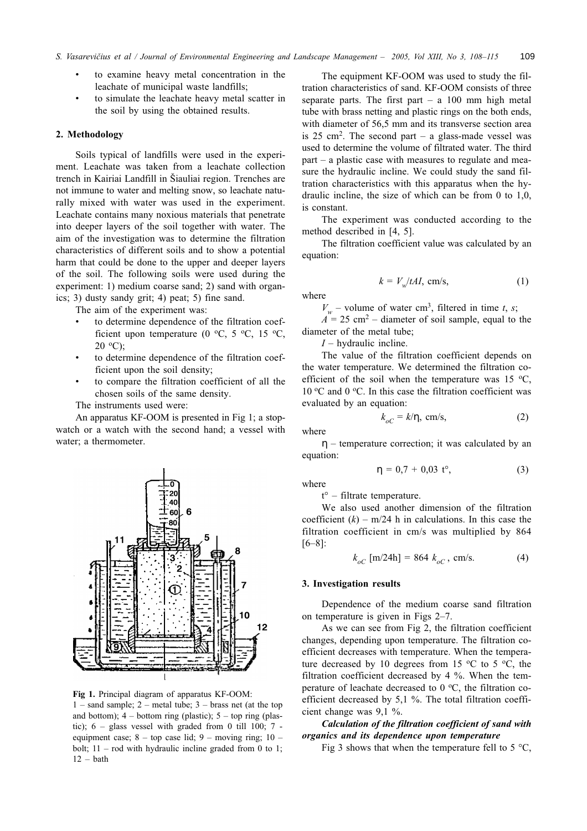- to examine heavy metal concentration in the leachate of municipal waste landfills;
- to simulate the leachate heavy metal scatter in the soil by using the obtained results.

### 2. Methodology

Soils typical of landfills were used in the experiment. Leachate was taken from a leachate collection trench in Kairiai Landfill in Šiauliai region. Trenches are not immune to water and melting snow, so leachate naturally mixed with water was used in the experiment. Leachate contains many noxious materials that penetrate into deeper layers of the soil together with water. The aim of the investigation was to determine the filtration characteristics of different soils and to show a potential harm that could be done to the upper and deeper layers of the soil. The following soils were used during the experiment: 1) medium coarse sand; 2) sand with organics; 3) dusty sandy grit; 4) peat; 5) fine sand.

The aim of the experiment was:

- to determine dependence of the filtration coefficient upon temperature (0 °C, 5 °C, 15 °C,  $20 \text{ }^{\circ}C$ :
- to determine dependence of the filtration coefficient upon the soil density;
- to compare the filtration coefficient of all the chosen soils of the same density.

The instruments used were:

An apparatus KF-OOM is presented in Fig 1; a stopwatch or a watch with the second hand; a vessel with water; a thermometer.



Fig 1. Principal diagram of apparatus KF-OOM:  $1$  – sand sample; 2 – metal tube; 3 – brass net (at the top and bottom);  $4$  – bottom ring (plastic);  $5$  – top ring (plastic);  $6 - glass$  vessel with graded from 0 till 100;  $7$ equipment case;  $8 - top$  case lid;  $9 - moving$  ring;  $10$ bolt;  $11 -$  rod with hydraulic incline graded from 0 to 1;  $12 - bath$ 

The equipment KF-OOM was used to study the filtration characteristics of sand. KF-OOM consists of three separate parts. The first part  $- a 100$  mm high metal tube with brass netting and plastic rings on the both ends, with diameter of 56,5 mm and its transverse section area is 25 cm<sup>2</sup>. The second part – a glass-made vessel was used to determine the volume of filtrated water. The third  $part - a$  plastic case with measures to regulate and measure the hydraulic incline. We could study the sand filtration characteristics with this apparatus when the hydraulic incline, the size of which can be from 0 to  $1,0$ , is constant.

The experiment was conducted according to the method described in [4, 5].

The filtration coefficient value was calculated by an equation:

 $k = V_w/tAI$ , cm/s,

$$
V_w
$$
 – volume of water cm<sup>3</sup>, filtered in time *t*, *s*;

 $(1)$ 

 $A = 25$  cm<sup>2</sup> – diameter of soil sample, equal to the diameter of the metal tube:

 $I$  – hydraulic incline.

The value of the filtration coefficient depends on the water temperature. We determined the filtration coefficient of the soil when the temperature was 15  $\,^{\circ}\text{C}$ , 10 °C and 0 °C. In this case the filtration coefficient was evaluated by an equation:

$$
k_{oC} = k/\eta, \text{ cm/s}, \tag{2}
$$

$$
f_{\rm{max}}
$$

 $\eta$  – temperature correction; it was calculated by an equation:

$$
\eta = 0.7 + 0.03 \, t^{\circ}, \tag{3}
$$

where

where

 $t^{\circ}$  – filtrate temperature.

We also used another dimension of the filtration coefficient  $(k)$  – m/24 h in calculations. In this case the filtration coefficient in cm/s was multiplied by 864  $[6-8]$ :

$$
k_{oC} \text{ [m/24h]} = 864 \ k_{oC}, \text{ cm/s.}
$$
 (4)

#### 3. Investigation results

Dependence of the medium coarse sand filtration on temperature is given in Figs  $2-7$ .

As we can see from Fig 2, the filtration coefficient changes, depending upon temperature. The filtration coefficient decreases with temperature. When the temperature decreased by 10 degrees from 15  $\,^{\circ}\text{C}$  to 5  $\,^{\circ}\text{C}$ , the filtration coefficient decreased by 4 %. When the temperature of leachate decreased to 0 °C, the filtration coefficient decreased by 5,1 %. The total filtration coefficient change was 9,1 %.

# Calculation of the filtration coefficient of sand with organics and its dependence upon temperature

Fig 3 shows that when the temperature fell to 5  $\degree$ C,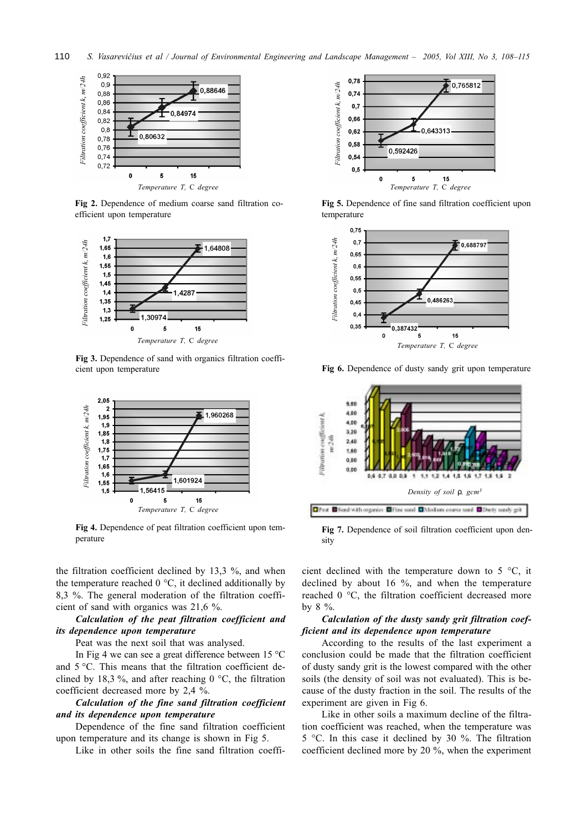

Fig 2. Dependence of medium coarse sand filtration coefficient upon temperature



Fig 3. Dependence of sand with organics filtration coefficient upon temperature



Fig 4. Dependence of peat filtration coefficient upon temperature

the filtration coefficient declined by 13,3 %, and when the temperature reached  $0^{\circ}$ C, it declined additionally by 8,3 %. The general moderation of the filtration coefficient of sand with organics was  $21,6\%$ .

# Calculation of the peat filtration coefficient and its dependence upon temperature

Peat was the next soil that was analysed.

In Fig 4 we can see a great difference between  $15^{\circ}$ C and 5 °C. This means that the filtration coefficient declined by 18,3%, and after reaching  $0^{\circ}$ C, the filtration coefficient decreased more by 2,4 %.

Calculation of the fine sand filtration coefficient and its dependence upon temperature

Dependence of the fine sand filtration coefficient upon temperature and its change is shown in Fig 5.

Like in other soils the fine sand filtration coeffi-



Fig 5. Dependence of fine sand filtration coefficient upon temperature





Fig 6. Dependence of dusty sandy grit upon temperature

Fig 7. Dependence of soil filtration coefficient upon density

cient declined with the temperature down to  $5^{\circ}$ C, it declined by about 16 %, and when the temperature reached 0 °C, the filtration coefficient decreased more by 8 %.

# Calculation of the dusty sandy grit filtration coefficient and its dependence upon temperature

According to the results of the last experiment a conclusion could be made that the filtration coefficient of dusty sandy grit is the lowest compared with the other soils (the density of soil was not evaluated). This is because of the dusty fraction in the soil. The results of the experiment are given in Fig 6.

Like in other soils a maximum decline of the filtration coefficient was reached, when the temperature was 5 °C. In this case it declined by 30 %. The filtration coefficient declined more by 20 %, when the experiment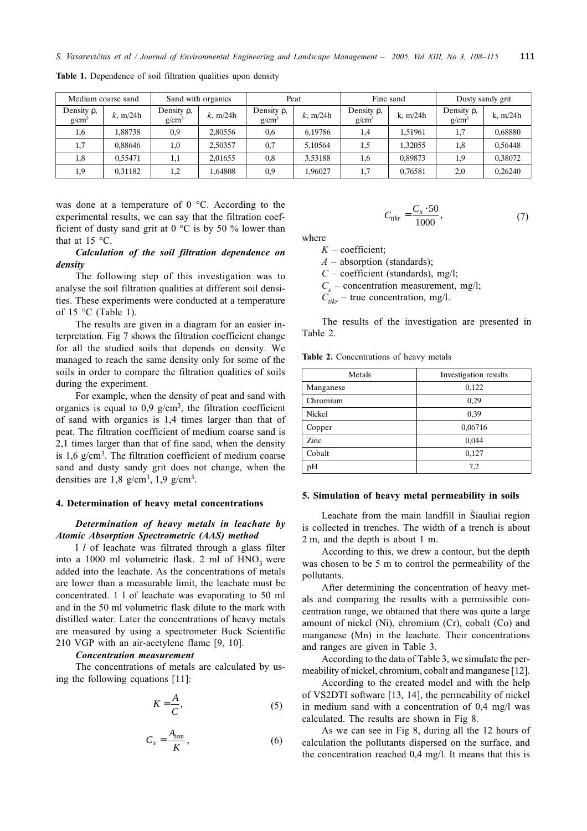| Medium coarse sand           |             | Sand with organics           |             | Peat                         |             | Fine sand                    |            | Dusty sandy grit             |            |
|------------------------------|-------------|------------------------------|-------------|------------------------------|-------------|------------------------------|------------|------------------------------|------------|
| Density $\rho$ ,<br>$g/cm^3$ | $k$ , m/24h | Density $\rho$ ,<br>$g/cm^3$ | $k$ , m/24h | Density $\rho$ ,<br>$g/cm^3$ | $k$ , m/24h | Density $\rho$ ,<br>$g/cm^3$ | k, $m/24h$ | Density $\rho$ ,<br>$g/cm^3$ | k, $m/24h$ |
| 1,6                          | 1,88738     | 0,9                          | 2,80556     | 0,6                          | 6,19786     | 1,4                          | 1.51961    | 1,7                          | 0,68880    |
| 1,7                          | 0.88646     | 1,0                          | 2,50357     | 0,7                          | 5.10564     | 1,5                          | 1.32055    | 1,8                          | 0,56448    |
| 1,8                          | 0.55471     | 1,1                          | 2.01655     | 0,8                          | 3.53188     | 1,6                          | 0.89873    | 1,9                          | 0.38072    |
| 1,9                          | 0.31182     | 1,2                          | .64808      | 0,9                          | 1.96027     |                              | 0.76581    | 2,0                          | 0.26240    |

Table 1. Dependence of soil filtration qualities upon density

was done at a temperature of  $0^{\circ}$ C. According to the experimental results, we can say that the filtration coefficient of dusty sand grit at  $0^{\circ}$ C is by 50 % lower than that at 15 $\degree$ C.

Calculation of the soil filtration dependence on density

The following step of this investigation was to analyse the soil filtration qualities at different soil densities. These experiments were conducted at a temperature of 15  $\degree$ C (Table 1).

The results are given in a diagram for an easier interpretation. Fig 7 shows the filtration coefficient change for all the studied soils that depends on density. We managed to reach the same density only for some of the soils in order to compare the filtration qualities of soils during the experiment.

For example, when the density of peat and sand with organics is equal to 0,9  $g/cm<sup>3</sup>$ , the filtration coefficient of sand with organics is 1,4 times larger than that of peat. The filtration coefficient of medium coarse sand is 2,1 times larger than that of fine sand, when the density is  $1,6$  g/cm<sup>3</sup>. The filtration coefficient of medium coarse sand and dusty sandy grit does not change, when the densities are  $1,8 \text{ g/cm}^3$ ,  $1,9 \text{ g/cm}^3$ .

#### 4. Determination of heavy metal concentrations

## Determination of heavy metals in leachate by Atomic Absorption Spectrometric (AAS) method

1 *l* of leachate was filtrated through a glass filter into a 1000 ml volumetric flask. 2 ml of  $HNO<sub>3</sub>$  were added into the leachate. As the concentrations of metals are lower than a measurable limit, the leachate must be concentrated. 1 1 of leachate was evaporating to 50 ml and in the 50 ml volumetric flask dilute to the mark with distilled water. Later the concentrations of heavy metals are measured by using a spectrometer Buck Scientific 210 VGP with an air-acetylene flame [9, 10].

### **Concentration measurement**

The concentrations of metals are calculated by using the following equations [11]:

$$
K = \frac{A}{C},\tag{5}
$$

$$
C_x = \frac{A_{ism}}{K},\tag{6}
$$

$$
C_{tikr} = \frac{C_x \cdot 50}{1000},\tag{7}
$$

where

 $K$  – coefficient;

 $A$  – absorption (standards);

 $C$  – coefficient (standards), mg/l;

 $C_r$  – concentration measurement, mg/l;

 $C_{\text{tikr}}$  – true concentration, mg/l.

The results of the investigation are presented in Table 2.

Table 2. Concentrations of heavy metals

| Metals    | Investigation results |  |  |
|-----------|-----------------------|--|--|
| Manganese | 0,122                 |  |  |
| Chromium  | 0,29                  |  |  |
| Nickel    | 0,39                  |  |  |
| Copper    | 0,06716               |  |  |
| Zinc      | 0,044                 |  |  |
| Cobalt    | 0,127                 |  |  |
| pH        | 7,2                   |  |  |

### 5. Simulation of heavy metal permeability in soils

Leachate from the main landfill in Šiauliai region is collected in trenches. The width of a trench is about 2 m, and the depth is about 1 m.

According to this, we drew a contour, but the depth was chosen to be 5 m to control the permeability of the pollutants.

After determining the concentration of heavy metals and comparing the results with a permissible concentration range, we obtained that there was quite a large amount of nickel (Ni), chromium (Cr), cobalt (Co) and manganese (Mn) in the leachate. Their concentrations and ranges are given in Table 3.

According to the data of Table 3, we simulate the permeability of nickel, chromium, cobalt and manganese [12].

According to the created model and with the help of VS2DTI software [13, 14], the permeability of nickel in medium sand with a concentration of 0,4 mg/l was calculated. The results are shown in Fig 8.

As we can see in Fig 8, during all the 12 hours of calculation the pollutants dispersed on the surface, and the concentration reached  $0.4 \text{ mg/l}$ . It means that this is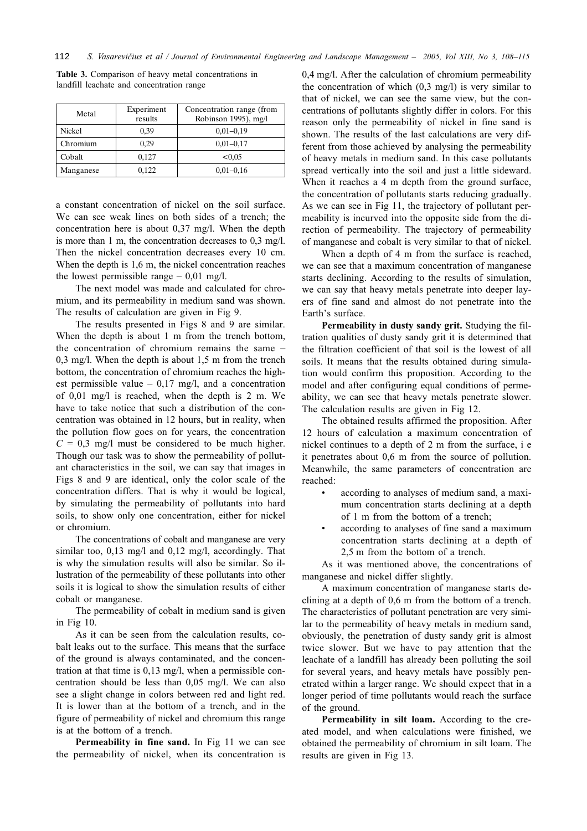| Metal     | Experiment<br>results | Concentration range (from<br>Robinson 1995), mg/l |  |  |
|-----------|-----------------------|---------------------------------------------------|--|--|
| Nickel    | 0,39                  | $0,01-0,19$                                       |  |  |
| Chromium  | 0.29                  | $0,01-0,17$                                       |  |  |
| Cobalt    | 0,127                 | < 0.05                                            |  |  |
| Manganese | 0,122                 | $0,01-0,16$                                       |  |  |

Table 3. Comparison of heavy metal concentrations in landfill leachate and concentration range

a constant concentration of nickel on the soil surface. We can see weak lines on both sides of a trench: the concentration here is about 0,37 mg/l. When the depth is more than 1 m, the concentration decreases to  $0.3 \text{ mg/l}$ . Then the nickel concentration decreases every 10 cm. When the depth is 1,6 m, the nickel concentration reaches the lowest permissible range  $-0.01$  mg/l.

The next model was made and calculated for chromium, and its permeability in medium sand was shown. The results of calculation are given in Fig 9.

The results presented in Figs 8 and 9 are similar. When the depth is about 1 m from the trench bottom, the concentration of chromium remains the same  $0,3$  mg/l. When the depth is about 1,5 m from the trench bottom, the concentration of chromium reaches the highest permissible value  $-0.17$  mg/l, and a concentration of 0.01 mg/l is reached, when the depth is 2 m. We have to take notice that such a distribution of the concentration was obtained in 12 hours, but in reality, when the pollution flow goes on for years, the concentration  $C = 0.3$  mg/l must be considered to be much higher. Though our task was to show the permeability of pollutant characteristics in the soil, we can say that images in Figs 8 and 9 are identical, only the color scale of the concentration differs. That is why it would be logical, by simulating the permeability of pollutants into hard soils, to show only one concentration, either for nickel or chromium.

The concentrations of cobalt and manganese are very similar too,  $0,13 \text{ mg/l}$  and  $0,12 \text{ mg/l}$ , accordingly. That is why the simulation results will also be similar. So illustration of the permeability of these pollutants into other soils it is logical to show the simulation results of either cobalt or manganese.

The permeability of cobalt in medium sand is given in Fig 10.

As it can be seen from the calculation results, cobalt leaks out to the surface. This means that the surface of the ground is always contaminated, and the concentration at that time is  $0,13 \text{ mg/l}$ , when a permissible concentration should be less than  $0.05$  mg/l. We can also see a slight change in colors between red and light red. It is lower than at the bottom of a trench, and in the figure of permeability of nickel and chromium this range is at the bottom of a trench.

Permeability in fine sand. In Fig 11 we can see the permeability of nickel, when its concentration is 0.4 mg/l. After the calculation of chromium permeability the concentration of which  $(0,3 \text{ mg/l})$  is very similar to that of nickel, we can see the same view, but the concentrations of pollutants slightly differ in colors. For this reason only the permeability of nickel in fine sand is shown. The results of the last calculations are very different from those achieved by analysing the permeability of heavy metals in medium sand. In this case pollutants spread vertically into the soil and just a little sideward. When it reaches a 4 m depth from the ground surface, the concentration of pollutants starts reducing gradually. As we can see in Fig 11, the trajectory of pollutant permeability is incurved into the opposite side from the direction of permeability. The trajectory of permeability of manganese and cobalt is very similar to that of nickel.

When a depth of 4 m from the surface is reached, we can see that a maximum concentration of manganese starts declining. According to the results of simulation, we can say that heavy metals penetrate into deeper layers of fine sand and almost do not penetrate into the Earth's surface.

Permeability in dusty sandy grit. Studying the filtration qualities of dusty sandy grit it is determined that the filtration coefficient of that soil is the lowest of all soils. It means that the results obtained during simulation would confirm this proposition. According to the model and after configuring equal conditions of permeability, we can see that heavy metals penetrate slower. The calculation results are given in Fig 12.

The obtained results affirmed the proposition. After 12 hours of calculation a maximum concentration of nickel continues to a depth of 2 m from the surface, i e it penetrates about 0,6 m from the source of pollution. Meanwhile, the same parameters of concentration are reached:

- according to analyses of medium sand, a maximum concentration starts declining at a depth of 1 m from the bottom of a trench;
- according to analyses of fine sand a maximum concentration starts declining at a depth of 2.5 m from the bottom of a trench.

As it was mentioned above, the concentrations of manganese and nickel differ slightly.

A maximum concentration of manganese starts declining at a depth of 0,6 m from the bottom of a trench. The characteristics of pollutant penetration are very similar to the permeability of heavy metals in medium sand, obviously, the penetration of dusty sandy grit is almost twice slower. But we have to pay attention that the leachate of a landfill has already been polluting the soil for several years, and heavy metals have possibly penetrated within a larger range. We should expect that in a longer period of time pollutants would reach the surface of the ground.

Permeability in silt loam. According to the created model, and when calculations were finished, we obtained the permeability of chromium in silt loam. The results are given in Fig 13.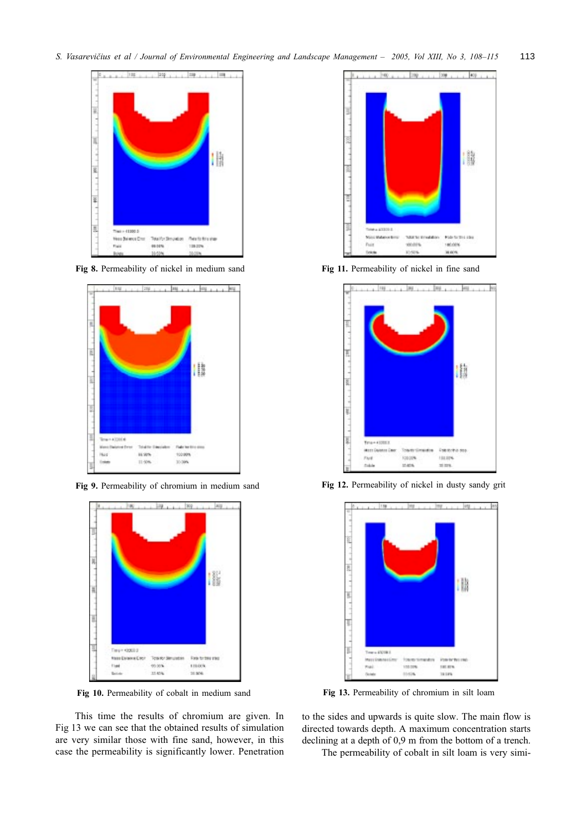

Fig 8. Permeability of nickel in medium sand



Fig 9. Permeability of chromium in medium sand



Fig 10. Permeability of cobalt in medium sand

This time the results of chromium are given. In Fig 13 we can see that the obtained results of simulation are very similar those with fine sand, however, in this case the permeability is significantly lower. Penetration



Fig 11. Permeability of nickel in fine sand



Fig 12. Permeability of nickel in dusty sandy grit



Fig 13. Permeability of chromium in silt loam

to the sides and upwards is quite slow. The main flow is directed towards depth. A maximum concentration starts declining at a depth of 0,9 m from the bottom of a trench.

The permeability of cobalt in silt loam is very simi-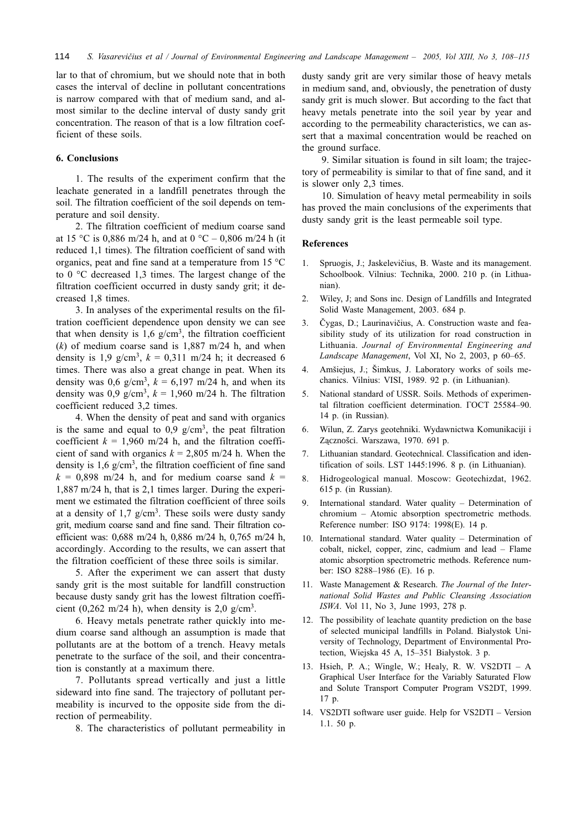lar to that of chromium, but we should note that in both cases the interval of decline in pollutant concentrations is narrow compared with that of medium sand, and almost similar to the decline interval of dusty sandy grit concentration. The reason of that is a low filtration coefficient of these soils.

# 6. Conclusions

1. The results of the experiment confirm that the leachate generated in a landfill penetrates through the soil. The filtration coefficient of the soil depends on temperature and soil density.

2. The filtration coefficient of medium coarse sand at 15 °C is 0,886 m/24 h, and at 0 °C – 0,806 m/24 h (it reduced 1,1 times). The filtration coefficient of sand with organics, peat and fine sand at a temperature from 15  $\degree$ C to  $0^{\circ}$ C decreased 1,3 times. The largest change of the filtration coefficient occurred in dusty sandy grit; it decreased 1.8 times.

3. In analyses of the experimental results on the filtration coefficient dependence upon density we can see that when density is  $1.6$  g/cm<sup>3</sup>, the filtration coefficient  $(k)$  of medium coarse sand is 1,887 m/24 h, and when density is 1,9 g/cm<sup>3</sup>,  $k = 0.311$  m/24 h; it decreased 6 times. There was also a great change in peat. When its density was 0,6 g/cm<sup>3</sup>,  $k = 6,197$  m/24 h, and when its density was 0,9 g/cm<sup>3</sup>,  $k = 1,960$  m/24 h. The filtration coefficient reduced 3,2 times.

4. When the density of peat and sand with organics is the same and equal to 0,9  $g/cm<sup>3</sup>$ , the peat filtration coefficient  $k = 1,960$  m/24 h, and the filtration coefficient of sand with organics  $k = 2,805$  m/24 h. When the density is  $1.6 \text{ g/cm}^3$ , the filtration coefficient of fine sand  $k = 0,898$  m/24 h, and for medium coarse sand  $k =$ 1,887 m/24 h, that is 2,1 times larger. During the experiment we estimated the filtration coefficient of three soils at a density of  $1.7$  g/cm<sup>3</sup>. These soils were dusty sandy grit, medium coarse sand and fine sand. Their filtration coefficient was: 0,688 m/24 h, 0,886 m/24 h, 0,765 m/24 h, accordingly. According to the results, we can assert that the filtration coefficient of these three soils is similar.

5. After the experiment we can assert that dusty sandy grit is the most suitable for landfill construction because dusty sandy grit has the lowest filtration coefficient (0,262 m/24 h), when density is 2,0 g/cm<sup>3</sup>.

6. Heavy metals penetrate rather quickly into medium coarse sand although an assumption is made that pollutants are at the bottom of a trench. Heavy metals penetrate to the surface of the soil, and their concentration is constantly at a maximum there.

7. Pollutants spread vertically and just a little sideward into fine sand. The trajectory of pollutant permeability is incurved to the opposite side from the direction of permeability.

8. The characteristics of pollutant permeability in

dusty sandy grit are very similar those of heavy metals in medium sand, and, obviously, the penetration of dusty sandy grit is much slower. But according to the fact that heavy metals penetrate into the soil year by year and according to the permeability characteristics, we can assert that a maximal concentration would be reached on the ground surface.

9. Similar situation is found in silt loam; the trajectory of permeability is similar to that of fine sand, and it is slower only 2,3 times.

10. Simulation of heavy metal permeability in soils has proved the main conclusions of the experiments that dusty sandy grit is the least permeable soil type.

### **References**

- Spruogis, J.; Jaskelevičius, B. Waste and its management.  $\mathbf{1}$ . Schoolbook. Vilnius: Technika, 2000. 210 p. (in Lithuanian).
- $2.$ Wiley, J; and Sons inc. Design of Landfills and Integrated Solid Waste Management, 2003. 684 p.
- $3.$ Čygas, D.; Laurinavičius, A. Construction waste and feasibility study of its utilization for road construction in Lithuania. Journal of Environmental Engineering and Landscape Management, Vol XI, No 2, 2003, p 60-65.
- $4.$ Amšiejus, J.; Šimkus, J. Laboratory works of soils mechanics. Vilnius: VISI, 1989. 92 p. (in Lithuanian).
- National standard of USSR. Soils. Methods of experimen-5. tal filtration coefficient determination. FOCT 25584-90. 14 p. (in Russian).
- Wilun, Z. Zarys geotehniki. Wydawnictwa Komunikaciji i 6. Zaczności. Warszawa, 1970. 691 p.
- 7. Lithuanian standard. Geotechnical. Classification and identification of soils. LST 1445:1996. 8 p. (in Lithuanian).
- Hidrogeological manual. Moscow: Geotechizdat, 1962. 8. 615 p. (in Russian).
- International standard. Water quality Determination of 9. chromium - Atomic absorption spectrometric methods. Reference number: ISO 9174: 1998(E). 14 p.
- 10. International standard. Water quality Determination of cobalt, nickel, copper, zinc, cadmium and lead - Flame atomic absorption spectrometric methods. Reference number: ISO 8288-1986 (E). 16 p.
- 11. Waste Management & Research. The Journal of the International Solid Wastes and Public Cleansing Association ISWA. Vol 11, No 3, June 1993, 278 p.
- 12. The possibility of leachate quantity prediction on the base of selected municipal landfills in Poland. Bialystok University of Technology, Department of Environmental Protection, Wiejska 45 A, 15-351 Białystok. 3 p.
- 13. Hsieh, P. A.; Wingle, W.; Healy, R. W. VS2DTI A Graphical User Interface for the Variably Saturated Flow and Solute Transport Computer Program VS2DT, 1999. 17 p.
- 14. VS2DTI software user guide. Help for VS2DTI Version 1.1.50  $p$ .